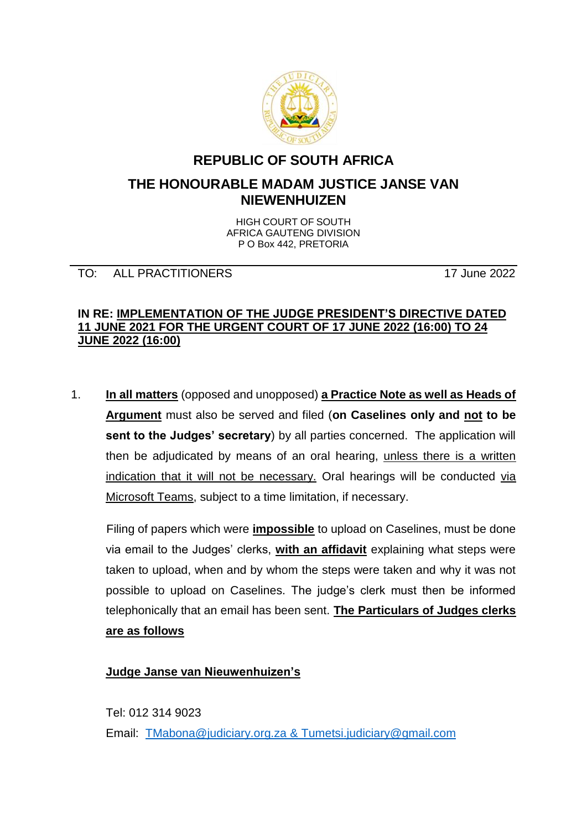

# **REPUBLIC OF SOUTH AFRICA**

# **THE HONOURABLE MADAM JUSTICE JANSE VAN NIEWENHUIZEN**

HIGH COURT OF SOUTH AFRICA GAUTENG DIVISION P O Box 442, PRETORIA

### TO: ALL PRACTITIONERS 17 June 2022

#### **IN RE: IMPLEMENTATION OF THE JUDGE PRESIDENT'S DIRECTIVE DATED 11 JUNE 2021 FOR THE URGENT COURT OF 17 JUNE 2022 (16:00) TO 24 JUNE 2022 (16:00)**

1. **In all matters** (opposed and unopposed) **a Practice Note as well as Heads of Argument** must also be served and filed (**on Caselines only and not to be sent to the Judges' secretary**) by all parties concerned. The application will then be adjudicated by means of an oral hearing, unless there is a written indication that it will not be necessary. Oral hearings will be conducted via Microsoft Teams, subject to a time limitation, if necessary.

Filing of papers which were **impossible** to upload on Caselines, must be done via email to the Judges' clerks, **with an affidavit** explaining what steps were taken to upload, when and by whom the steps were taken and why it was not possible to upload on Caselines. The judge's clerk must then be informed telephonically that an email has been sent. **The Particulars of Judges clerks are as follows**

# **Judge Janse van Nieuwenhuizen's**

Tel: 012 314 9023 Email: [TMabona@judiciary.org.za](mailto:TMabona@judiciary.org.za) & Tumetsi.judiciary@gmail.com